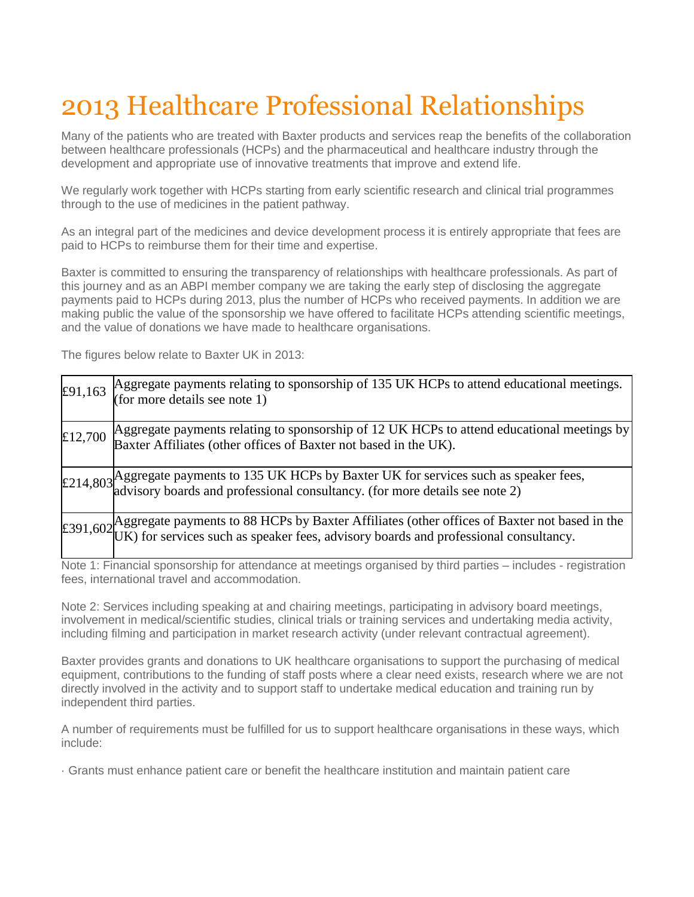## 2013 Healthcare Professional Relationships

Many of the patients who are treated with Baxter products and services reap the benefits of the collaboration between healthcare professionals (HCPs) and the pharmaceutical and healthcare industry through the development and appropriate use of innovative treatments that improve and extend life.

We regularly work together with HCPs starting from early scientific research and clinical trial programmes through to the use of medicines in the patient pathway.

As an integral part of the medicines and device development process it is entirely appropriate that fees are paid to HCPs to reimburse them for their time and expertise.

Baxter is committed to ensuring the transparency of relationships with healthcare professionals. As part of this journey and as an ABPI member company we are taking the early step of disclosing the aggregate payments paid to HCPs during 2013, plus the number of HCPs who received payments. In addition we are making public the value of the sponsorship we have offered to facilitate HCPs attending scientific meetings, and the value of donations we have made to healthcare organisations.

The figures below relate to Baxter UK in 2013:

| £91,163 | Aggregate payments relating to sponsorship of 135 UK HCPs to attend educational meetings.<br>$($ for more details see note 1)                                                                   |
|---------|-------------------------------------------------------------------------------------------------------------------------------------------------------------------------------------------------|
| £12,700 | Aggregate payments relating to sponsorship of 12 UK HCPs to attend educational meetings by<br>Baxter Affiliates (other offices of Baxter not based in the UK).                                  |
|         | $\pm$ 214,803 Aggregate payments to 135 UK HCPs by Baxter UK for services such as speaker fees,<br>$\pm$ 214,803 advisory boards and professional consultancy. (for more details see note 2)    |
|         | $\pm$ 391,602 Aggregate payments to 88 HCPs by Baxter Affiliates (other offices of Baxter not based in the UK) for services such as speaker fees, advisory boards and professional consultancy. |

Note 1: Financial sponsorship for attendance at meetings organised by third parties – includes - registration fees, international travel and accommodation.

Note 2: Services including speaking at and chairing meetings, participating in advisory board meetings, involvement in medical/scientific studies, clinical trials or training services and undertaking media activity, including filming and participation in market research activity (under relevant contractual agreement).

Baxter provides grants and donations to UK healthcare organisations to support the purchasing of medical equipment, contributions to the funding of staff posts where a clear need exists, research where we are not directly involved in the activity and to support staff to undertake medical education and training run by independent third parties.

A number of requirements must be fulfilled for us to support healthcare organisations in these ways, which include:

· Grants must enhance patient care or benefit the healthcare institution and maintain patient care